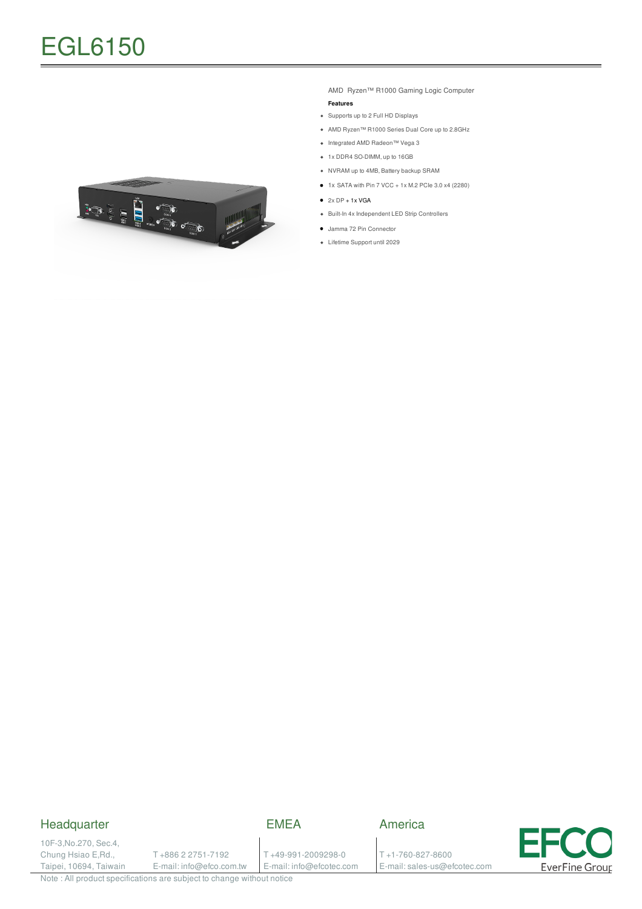

AMD Ryzen™ R1000 Gaming Logic Computer **Features**

- Supports up to 2 Full HD Displays
- AMD Ryzen™ R1000 Series Dual Core up to 2.8GHz
- Integrated AMD Radeon™ Vega 3
- 1x DDR4 SO-DIMM, up to 16GB
- NVRAM up to 4MB, Battery backup SRAM
- $\bullet$  1x SATA with Pin 7 VCC + 1x M.2 PCIe 3.0 x4 (2280)
- $\bullet$  2x DP + 1x VGA
- Built-In 4x Independent LED Strip Controllers
- Jamma 72 Pin Connector
- Lifetime Support until 2029

#### Headquarter

EMEA

10F-3,No.270, Sec.4, Chung Hsiao E,Rd., Taipei, 10694, Taiwain

T +886 2 2751-7192 E-mail: info@efco.com.tw

T +49-991-2009298-0 E-mail: info@efcotec.com T +1-760-827-8600

E-mail: sales-us@efcotec.com

America

E **EverFine Group** 

Note : All product specifications are subject to change without notice